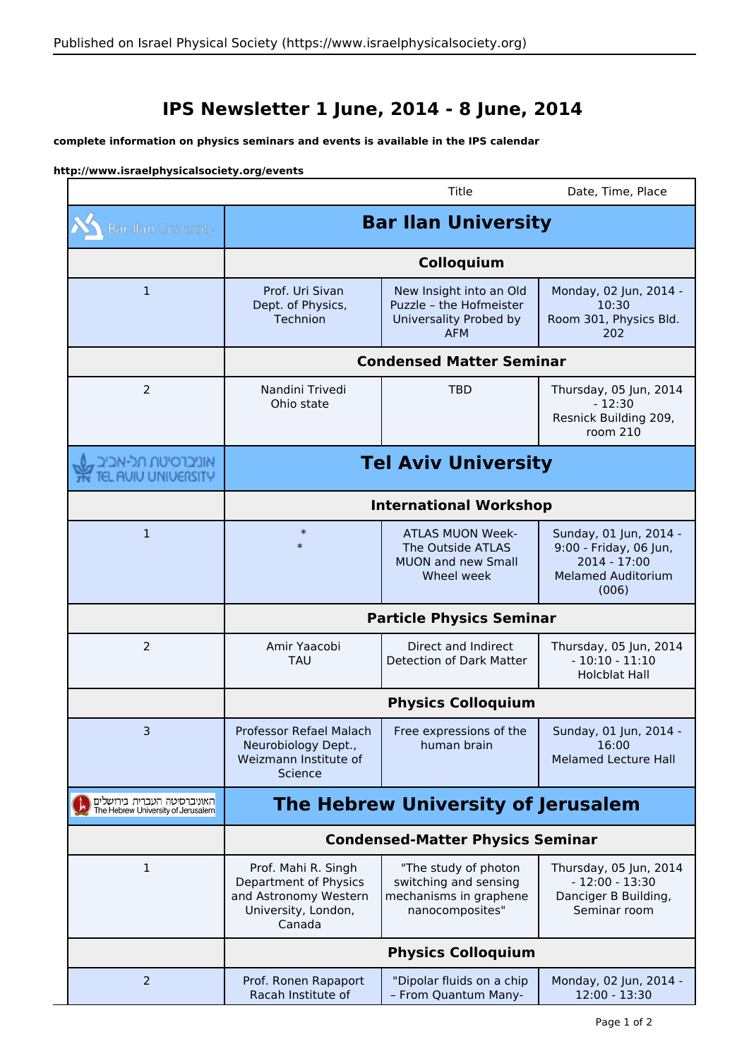## **IPS Newsletter 1 June, 2014 - 8 June, 2014**

## **complete information on physics seminars and events is available in the IPS calendar**

## **http://www.israelphysicalsociety.org/events**

|                                                                   |                                                                                                        | Title                                                                                      | Date, Time, Place                                                                                      |  |
|-------------------------------------------------------------------|--------------------------------------------------------------------------------------------------------|--------------------------------------------------------------------------------------------|--------------------------------------------------------------------------------------------------------|--|
| <b>Bar-Ilan University</b>                                        | <b>Bar Ilan University</b>                                                                             |                                                                                            |                                                                                                        |  |
|                                                                   | Colloquium                                                                                             |                                                                                            |                                                                                                        |  |
| $\mathbf{1}$                                                      | Prof. Uri Sivan<br>Dept. of Physics,<br>Technion                                                       | New Insight into an Old<br>Puzzle - the Hofmeister<br>Universality Probed by<br><b>AFM</b> | Monday, 02 Jun, 2014 -<br>10:30<br>Room 301, Physics Bld.<br>202                                       |  |
|                                                                   | <b>Condensed Matter Seminar</b>                                                                        |                                                                                            |                                                                                                        |  |
| $\overline{2}$                                                    | Nandini Trivedi<br>Ohio state                                                                          | <b>TBD</b>                                                                                 | Thursday, 05 Jun, 2014<br>$-12:30$<br>Resnick Building 209,<br>room 210                                |  |
| אוניברסיטת תל-אביב<br>TEL AUIU UNIUERSITY                         | <b>Tel Aviv University</b><br><b>International Workshop</b>                                            |                                                                                            |                                                                                                        |  |
|                                                                   |                                                                                                        |                                                                                            |                                                                                                        |  |
| $\mathbf{1}$                                                      | $\ast$<br>$\ast$                                                                                       | <b>ATLAS MUON Week-</b><br>The Outside ATLAS<br><b>MUON and new Small</b><br>Wheel week    | Sunday, 01 Jun, 2014 -<br>9:00 - Friday, 06 Jun,<br>2014 - 17:00<br><b>Melamed Auditorium</b><br>(006) |  |
|                                                                   | <b>Particle Physics Seminar</b>                                                                        |                                                                                            |                                                                                                        |  |
| $\overline{2}$                                                    | Amir Yaacobi<br><b>TAU</b>                                                                             | Direct and Indirect<br>Detection of Dark Matter                                            | Thursday, 05 Jun, 2014<br>$-10:10 - 11:10$<br><b>Holcblat Hall</b>                                     |  |
|                                                                   | <b>Physics Colloquium</b>                                                                              |                                                                                            |                                                                                                        |  |
| $\overline{3}$                                                    | Professor Refael Malach<br>Neurobiology Dept.,<br>Weizmann Institute of<br>Science                     | Free expressions of the<br>human brain                                                     | Sunday, 01 Jun, 2014 -<br>16:00<br><b>Melamed Lecture Hall</b>                                         |  |
| האוניברסיטה העברית בירושלים<br>The Hebrew University of Jerusalem | The Hebrew University of Jerusalem                                                                     |                                                                                            |                                                                                                        |  |
|                                                                   | <b>Condensed-Matter Physics Seminar</b>                                                                |                                                                                            |                                                                                                        |  |
| $\mathbf{1}$                                                      | Prof. Mahi R. Singh<br>Department of Physics<br>and Astronomy Western<br>University, London,<br>Canada | "The study of photon<br>switching and sensing<br>mechanisms in graphene<br>nanocomposites" | Thursday, 05 Jun, 2014<br>$-12:00 - 13:30$<br>Danciger B Building,<br>Seminar room                     |  |
|                                                                   | <b>Physics Colloquium</b>                                                                              |                                                                                            |                                                                                                        |  |
| $\overline{2}$                                                    | Prof. Ronen Rapaport<br>Racah Institute of                                                             | "Dipolar fluids on a chip<br>- From Quantum Many-                                          | Monday, 02 Jun, 2014 -<br>12:00 - 13:30                                                                |  |

٦